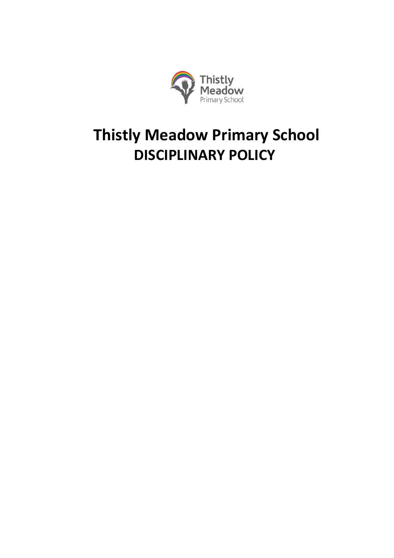

# **Thistly Meadow Primary School DISCIPLINARY POLICY**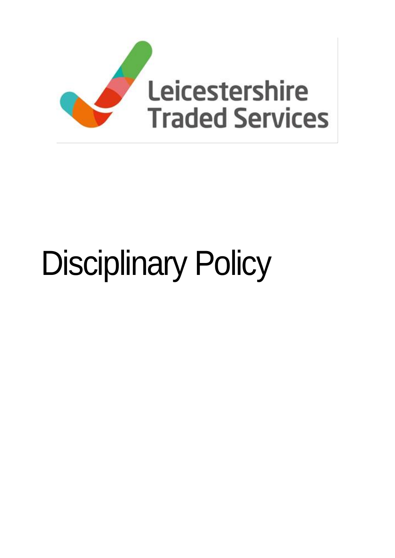

# Disciplinary Policy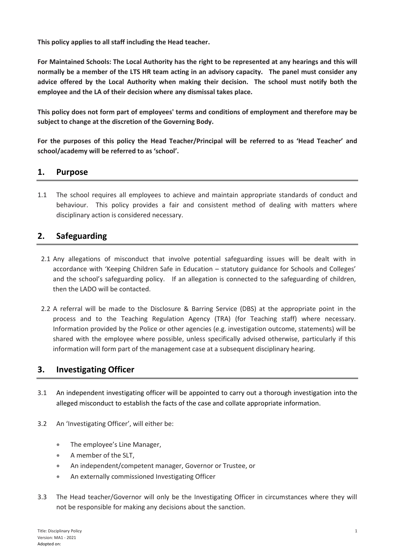**This policy applies to all staff including the Head teacher.**

**For Maintained Schools: The Local Authority has the right to be represented at any hearings and this will normally be a member of the LTS HR team acting in an advisory capacity. The panel must consider any advice offered by the Local Authority when making their decision. The school must notify both the employee and the LA of their decision where any dismissal takes place.** 

**This policy does not form part of employees' terms and conditions of employment and therefore may be subject to change at the discretion of the Governing Body.** 

**For the purposes of this policy the Head Teacher/Principal will be referred to as 'Head Teacher' and school/academy will be referred to as 'school'.**

### **1. Purpose**

1.1 The school requires all employees to achieve and maintain appropriate standards of conduct and behaviour. This policy provides a fair and consistent method of dealing with matters where disciplinary action is considered necessary.

# **2. Safeguarding**

- 2.1 Any allegations of misconduct that involve potential safeguarding issues will be dealt with in accordance with 'Keeping Children Safe in Education – statutory guidance for Schools and Colleges' and the school's safeguarding policy. If an allegation is connected to the safeguarding of children, then the LADO will be contacted.
- 2.2 A referral will be made to the Disclosure & Barring Service (DBS) at the appropriate point in the process and to the Teaching Regulation Agency (TRA) (for Teaching staff) where necessary. Information provided by the Police or other agencies (e.g. investigation outcome, statements) will be shared with the employee where possible, unless specifically advised otherwise, particularly if this information will form part of the management case at a subsequent disciplinary hearing.

### **3. Investigating Officer**

- 3.1 An independent investigating officer will be appointed to carry out a thorough investigation into the alleged misconduct to establish the facts of the case and collate appropriate information.
- 3.2 An 'Investigating Officer', will either be:
	- The employee's Line Manager,
	- A member of the SLT,
	- An independent/competent manager, Governor or Trustee, or
	- An externally commissioned Investigating Officer
- 3.3 The Head teacher/Governor will only be the Investigating Officer in circumstances where they will not be responsible for making any decisions about the sanction.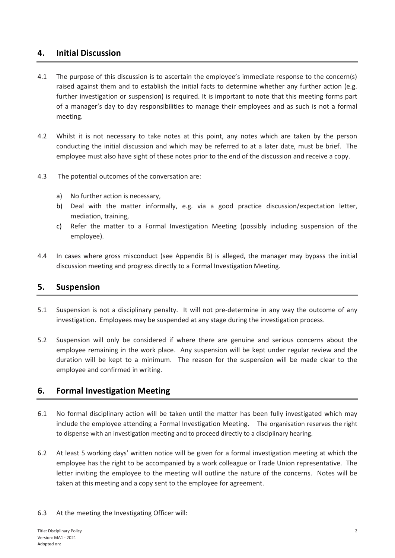#### **4. Initial Discussion**

- 4.1 The purpose of this discussion is to ascertain the employee's immediate response to the concern(s) raised against them and to establish the initial facts to determine whether any further action (e.g. further investigation or suspension) is required. It is important to note that this meeting forms part of a manager's day to day responsibilities to manage their employees and as such is not a formal meeting.
- 4.2 Whilst it is not necessary to take notes at this point, any notes which are taken by the person conducting the initial discussion and which may be referred to at a later date, must be brief. The employee must also have sight of these notes prior to the end of the discussion and receive a copy.
- 4.3 The potential outcomes of the conversation are:
	- a) No further action is necessary,
	- b) Deal with the matter informally, e.g. via a good practice discussion/expectation letter, mediation, training,
	- c) Refer the matter to a Formal Investigation Meeting (possibly including suspension of the employee).
- 4.4 In cases where gross misconduct (see Appendix B) is alleged, the manager may bypass the initial discussion meeting and progress directly to a Formal Investigation Meeting.

#### **5. Suspension**

- 5.1 Suspension is not a disciplinary penalty. It will not pre-determine in any way the outcome of any investigation. Employees may be suspended at any stage during the investigation process.
- 5.2 Suspension will only be considered if where there are genuine and serious concerns about the employee remaining in the work place. Any suspension will be kept under regular review and the duration will be kept to a minimum. The reason for the suspension will be made clear to the employee and confirmed in writing.

#### **6. Formal Investigation Meeting**

- 6.1 No formal disciplinary action will be taken until the matter has been fully investigated which may include the employee attending a Formal Investigation Meeting. The organisation reserves the right to dispense with an investigation meeting and to proceed directly to a disciplinary hearing.
- 6.2 At least 5 working days' written notice will be given for a formal investigation meeting at which the employee has the right to be accompanied by a work colleague or Trade Union representative. The letter inviting the employee to the meeting will outline the nature of the concerns. Notes will be taken at this meeting and a copy sent to the employee for agreement.
- 6.3 At the meeting the Investigating Officer will: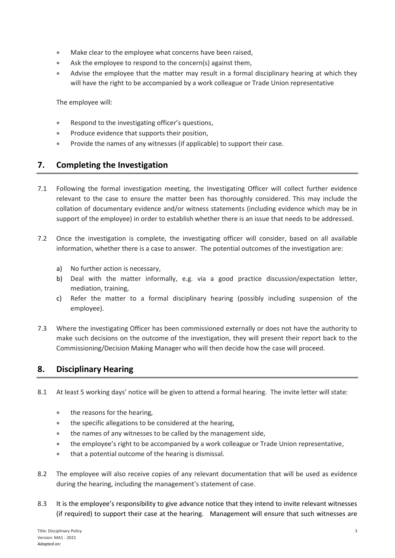- Make clear to the employee what concerns have been raised,
- Ask the employee to respond to the concern(s) against them,
- Advise the employee that the matter may result in a formal disciplinary hearing at which they will have the right to be accompanied by a work colleague or Trade Union representative

The employee will:

- Respond to the investigating officer's questions,
- Produce evidence that supports their position,
- **•** Provide the names of any witnesses (if applicable) to support their case.

### **7. Completing the Investigation**

- 7.1 Following the formal investigation meeting, the Investigating Officer will collect further evidence relevant to the case to ensure the matter been has thoroughly considered. This may include the collation of documentary evidence and/or witness statements (including evidence which may be in support of the employee) in order to establish whether there is an issue that needs to be addressed.
- 7.2 Once the investigation is complete, the investigating officer will consider, based on all available information, whether there is a case to answer. The potential outcomes of the investigation are:
	- a) No further action is necessary,
	- b) Deal with the matter informally, e.g. via a good practice discussion/expectation letter, mediation, training,
	- c) Refer the matter to a formal disciplinary hearing (possibly including suspension of the employee).
- 7.3 Where the investigating Officer has been commissioned externally or does not have the authority to make such decisions on the outcome of the investigation, they will present their report back to the Commissioning/Decision Making Manager who will then decide how the case will proceed.

# **8. Disciplinary Hearing**

- 8.1 At least 5 working days' notice will be given to attend a formal hearing. The invite letter will state:
	- the reasons for the hearing,
	- the specific allegations to be considered at the hearing,
	- the names of any witnesses to be called by the management side,
	- the employee's right to be accompanied by a work colleague or Trade Union representative,
	- that a potential outcome of the hearing is dismissal.
- 8.2 The employee will also receive copies of any relevant documentation that will be used as evidence during the hearing, including the management's statement of case.
- 8.3 It is the employee's responsibility to give advance notice that they intend to invite relevant witnesses (if required) to support their case at the hearing. Management will ensure that such witnesses are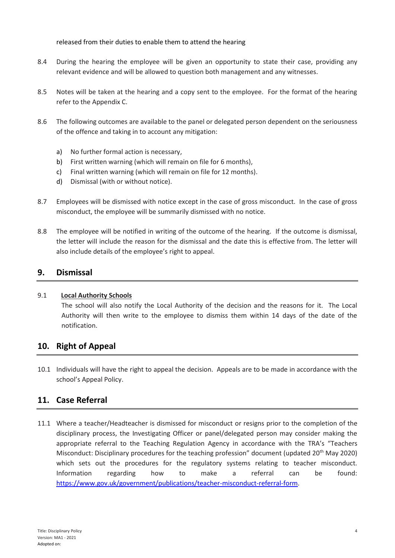released from their duties to enable them to attend the hearing

- 8.4 During the hearing the employee will be given an opportunity to state their case, providing any relevant evidence and will be allowed to question both management and any witnesses.
- 8.5 Notes will be taken at the hearing and a copy sent to the employee. For the format of the hearing refer to the Appendix C.
- 8.6 The following outcomes are available to the panel or delegated person dependent on the seriousness of the offence and taking in to account any mitigation:
	- a) No further formal action is necessary,
	- b) First written warning (which will remain on file for 6 months),
	- c) Final written warning (which will remain on file for 12 months).
	- d) Dismissal (with or without notice).
- 8.7 Employees will be dismissed with notice except in the case of gross misconduct. In the case of gross misconduct, the employee will be summarily dismissed with no notice.
- 8.8 The employee will be notified in writing of the outcome of the hearing. If the outcome is dismissal, the letter will include the reason for the dismissal and the date this is effective from. The letter will also include details of the employee's right to appeal.

#### **9. Dismissal**

#### 9.1 **Local Authority Schools**

The school will also notify the Local Authority of the decision and the reasons for it. The Local Authority will then write to the employee to dismiss them within 14 days of the date of the notification.

#### **10. Right of Appeal**

10.1 Individuals will have the right to appeal the decision. Appeals are to be made in accordance with the school's Appeal Policy.

### **11. Case Referral**

11.1 Where a teacher/Headteacher is dismissed for misconduct or resigns prior to the completion of the disciplinary process, the Investigating Officer or panel/delegated person may consider making the appropriate referral to the Teaching Regulation Agency in accordance with the TRA's "Teachers Misconduct: Disciplinary procedures for the teaching profession" document (updated 20<sup>th</sup> May 2020) which sets out the procedures for the regulatory systems relating to teacher misconduct. Information regarding how to make a referral can be found: [https://www.gov.uk/government/publications/teacher-misconduct-referral-form.](https://www.gov.uk/government/publications/teacher-misconduct-referral-form)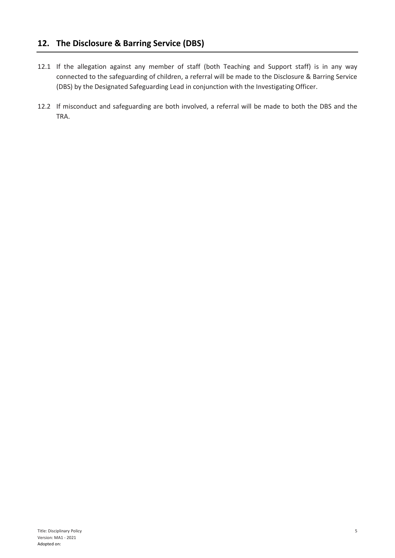## **12. The Disclosure & Barring Service (DBS)**

- 12.1 If the allegation against any member of staff (both Teaching and Support staff) is in any way connected to the safeguarding of children, a referral will be made to the Disclosure & Barring Service (DBS) by the Designated Safeguarding Lead in conjunction with the Investigating Officer.
- 12.2 If misconduct and safeguarding are both involved, a referral will be made to both the DBS and the TRA.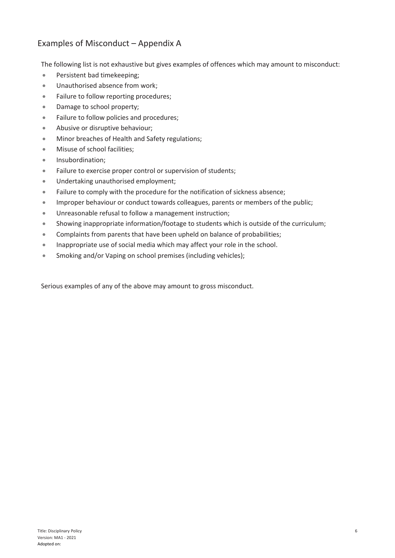# Examples of Misconduct – Appendix A

The following list is not exhaustive but gives examples of offences which may amount to misconduct:

- Persistent bad timekeeping;
- Unauthorised absence from work;
- Failure to follow reporting procedures;
- Damage to school property;
- Failure to follow policies and procedures;
- Abusive or disruptive behaviour;
- **Minor breaches of Health and Safety regulations;**
- **•** Misuse of school facilities:
- **•** Insubordination;
- Failure to exercise proper control or supervision of students;
- Undertaking unauthorised employment;
- Failure to comply with the procedure for the notification of sickness absence;
- Improper behaviour or conduct towards colleagues, parents or members of the public;
- Unreasonable refusal to follow a management instruction;
- Showing inappropriate information/footage to students which is outside of the curriculum;
- Complaints from parents that have been upheld on balance of probabilities;
- Inappropriate use of social media which may affect your role in the school.
- Smoking and/or Vaping on school premises (including vehicles);

Serious examples of any of the above may amount to gross misconduct.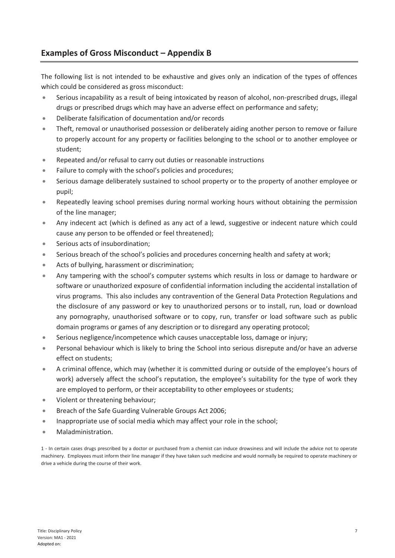# **Examples of Gross Misconduct – Appendix B**

The following list is not intended to be exhaustive and gives only an indication of the types of offences which could be considered as gross misconduct:

- Serious incapability as a result of being intoxicated by reason of alcohol, non-prescribed drugs, illegal drugs or prescribed drugs which may have an adverse effect on performance and safety;
- Deliberate falsification of documentation and/or records
- Theft, removal or unauthorised possession or deliberately aiding another person to remove or failure to properly account for any property or facilities belonging to the school or to another employee or student;
- Repeated and/or refusal to carry out duties or reasonable instructions
- Failure to comply with the school's policies and procedures;
- Serious damage deliberately sustained to school property or to the property of another employee or pupil;
- Repeatedly leaving school premises during normal working hours without obtaining the permission of the line manager;
- Any indecent act (which is defined as any act of a lewd, suggestive or indecent nature which could cause any person to be offended or feel threatened);
- Serious acts of insubordination;
- Serious breach of the school's policies and procedures concerning health and safety at work;
- Acts of bullying, harassment or discrimination;
- Any tampering with the school's computer systems which results in loss or damage to hardware or software or unauthorized exposure of confidential information including the accidental installation of virus programs. This also includes any contravention of the General Data Protection Regulations and the disclosure of any password or key to unauthorized persons or to install, run, load or download any pornography, unauthorised software or to copy, run, transfer or load software such as public domain programs or games of any description or to disregard any operating protocol;
- Serious negligence/incompetence which causes unacceptable loss, damage or injury;
- Personal behaviour which is likely to bring the School into serious disrepute and/or have an adverse effect on students;
- A criminal offence, which may (whether it is committed during or outside of the employee's hours of work) adversely affect the school's reputation, the employee's suitability for the type of work they are employed to perform, or their acceptability to other employees or students;
- Violent or threatening behaviour;
- Breach of the Safe Guarding Vulnerable Groups Act 2006;
- Inappropriate use of social media which may affect your role in the school;
- Maladministration.

1 - In certain cases drugs prescribed by a doctor or purchased from a chemist can induce drowsiness and will include the advice not to operate machinery. Employees must inform their line manager if they have taken such medicine and would normally be required to operate machinery or drive a vehicle during the course of their work.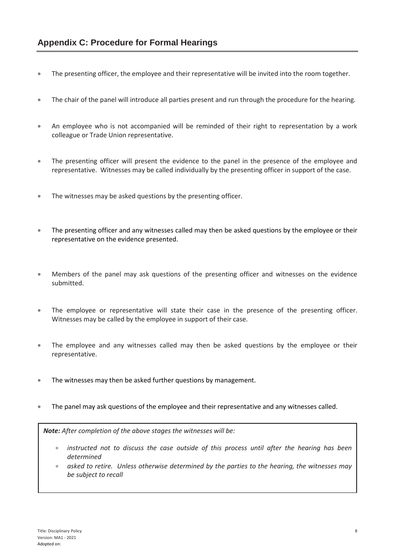- The presenting officer, the employee and their representative will be invited into the room together.
- The chair of the panel will introduce all parties present and run through the procedure for the hearing.
- An employee who is not accompanied will be reminded of their right to representation by a work colleague or Trade Union representative.
- The presenting officer will present the evidence to the panel in the presence of the employee and representative. Witnesses may be called individually by the presenting officer in support of the case.
- The witnesses may be asked questions by the presenting officer.
- The presenting officer and any witnesses called may then be asked questions by the employee or their representative on the evidence presented.
- Members of the panel may ask questions of the presenting officer and witnesses on the evidence submitted.
- The employee or representative will state their case in the presence of the presenting officer. Witnesses may be called by the employee in support of their case.
- The employee and any witnesses called may then be asked questions by the employee or their representative.
- The witnesses may then be asked further questions by management.
- The panel may ask questions of the employee and their representative and any witnesses called.

*Note: After completion of the above stages the witnesses will be:*

- *instructed not to discuss the case outside of this process until after the hearing has been determined*
- *asked to retire. Unless otherwise determined by the parties to the hearing, the witnesses may be subject to recall*